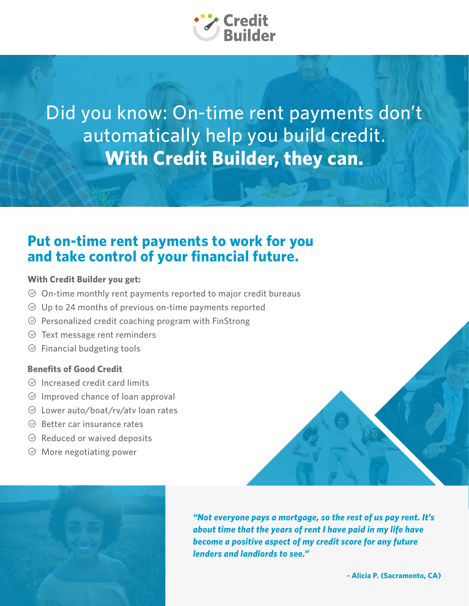

Did you know: On-time rent payments don't automatically help you build credit. **With Credit Builder, they can.**

### **Put on-time rent payments to work for you and take control of your financial future.**

### **With Credit Builder you get:**

- $\odot$  On-time monthly rent payments reported to major credit bureaus
- $\heartsuit$  Up to 24 months of previous on-time payments reported
- $\odot$  Personalized credit coaching program with FinStrong
- $\heartsuit$  Text message rent reminders
- $\circledcirc$  Financial budgeting tools

### **Benefits of Good Credit**

- $\odot$  Increased credit card limits
- $\odot$  Improved chance of loan approval
- $\odot$  Lower auto/boat/rv/atv loan rates
- $\odot$  Better car insurance rates
- $\odot$  Reduced or waived deposits
- $\odot$  More negotiating power



*"Not everyone pays a mortgage, so the rest of us pay rent. It's about time that the years of rent I have paid in my life have become a positive aspect of my credit score for any future lenders and landlords to see."*